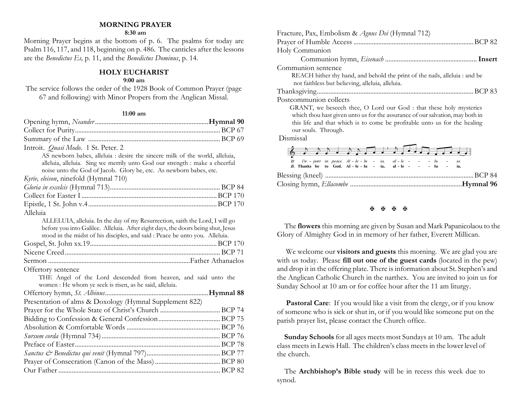## **MORNING PRAYER**

#### **8:30 am**

Morning Prayer begins at the bottom of p. 6. The psalms for today are Psalm 116, 117, and 118, beginning on p. 486. The canticles after the lessons are the *Benedictus Es,* p. 11, and the *Benedictus Dominus*, p. 14.

### **HOLY EUCHARIST**

### **9:00 am**

The service follows the order of the 1928 Book of Common Prayer (page 67 and following) with Minor Propers from the Anglican Missal.

#### **11:00 am**

| Introit. Quasi Modo. 1 St. Peter. 2                                                                                                                                                                                                              |  |
|--------------------------------------------------------------------------------------------------------------------------------------------------------------------------------------------------------------------------------------------------|--|
| AS newborn babes, alleluia : desire the sincere milk of the world, alleluia,<br>alleluia, alleluia. Sing we merrily unto God our strength : make a cheerful                                                                                      |  |
| noise unto the God of Jacob. Glory be, etc. As newborn babes, etc.                                                                                                                                                                               |  |
| Kyrie, eleison, ninefold (Hymnal 710)                                                                                                                                                                                                            |  |
|                                                                                                                                                                                                                                                  |  |
|                                                                                                                                                                                                                                                  |  |
|                                                                                                                                                                                                                                                  |  |
| Alleluia                                                                                                                                                                                                                                         |  |
| ALLELUIA, alleluia. In the day of my Resurrection, saith the Lord, I will go<br>before you into Galilee. Alleluia. After eight days, the doors being shut, Jesus<br>stood in the midst of his disciples, and said : Peace be unto you. Alleluia. |  |
|                                                                                                                                                                                                                                                  |  |
|                                                                                                                                                                                                                                                  |  |
|                                                                                                                                                                                                                                                  |  |
| Offertory sentence                                                                                                                                                                                                                               |  |
| THE Angel of the Lord descended from heaven, and said unto the<br>women : He whom ye seek is risen, as he said, alleluia.                                                                                                                        |  |
|                                                                                                                                                                                                                                                  |  |
| Presentation of alms & Doxology (Hymnal Supplement 822)                                                                                                                                                                                          |  |
|                                                                                                                                                                                                                                                  |  |
|                                                                                                                                                                                                                                                  |  |
|                                                                                                                                                                                                                                                  |  |
|                                                                                                                                                                                                                                                  |  |
|                                                                                                                                                                                                                                                  |  |
|                                                                                                                                                                                                                                                  |  |
|                                                                                                                                                                                                                                                  |  |
|                                                                                                                                                                                                                                                  |  |

| Fracture, Pax, Embolism & Agnus Dei (Hymnal 712)                              |
|-------------------------------------------------------------------------------|
|                                                                               |
| Holy Communion                                                                |
|                                                                               |
| Communion sentence                                                            |
| REACH hither thy hand, and behold the print of the nails, alleluia : and be   |
| not faithless but believing, alleluia, alleluia.                              |
|                                                                               |
| Postcommunion collects                                                        |
| GRANT, we beseech thee, O Lord our God : that these holy mysteries            |
| which thou hast given unto us for the assurance of our salvation, may both in |
| this life and that which is to come be profitable unto us for the healing     |
| our souls. Through.                                                           |
| Dismissal                                                                     |
|                                                                               |

|  |  | 29. De part in peace. Al - le - lu - ia, al - le - - - - - lu - ia.<br>$\Re$ . Thanks be to God. Al - le - lu - ia, al - le - - - - lu - ia. |  |  |  |  |  |
|--|--|----------------------------------------------------------------------------------------------------------------------------------------------|--|--|--|--|--|
|  |  |                                                                                                                                              |  |  |  |  |  |
|  |  |                                                                                                                                              |  |  |  |  |  |

#### 医困困困

 The **flowers** this morning are given by Susan and Mark Papanicolaou to the Glory of Almighty God in in memory of her father, Everett Millican.

We welcome our **visitors and guests** this morning. We are glad you are with us today. Please **fill out one of the guest cards** (located in the pew) and drop it in the offering plate. There is information about St. Stephen's and the Anglican Catholic Church in the narthex. You are invited to join us for Sunday School at 10 am or for coffee hour after the 11 am liturgy.

**Pastoral Care:** If you would like a visit from the clergy, or if you know of someone who is sick or shut in, or if you would like someone put on the parish prayer list, please contact the Church office.

 **Sunday Schools** for all ages meets most Sundays at 10 am. The adult class meets in Lewis Hall. The children's class meets in the lower level of the church.

 The **Archbishop's Bible study** will be in recess this week due to synod.